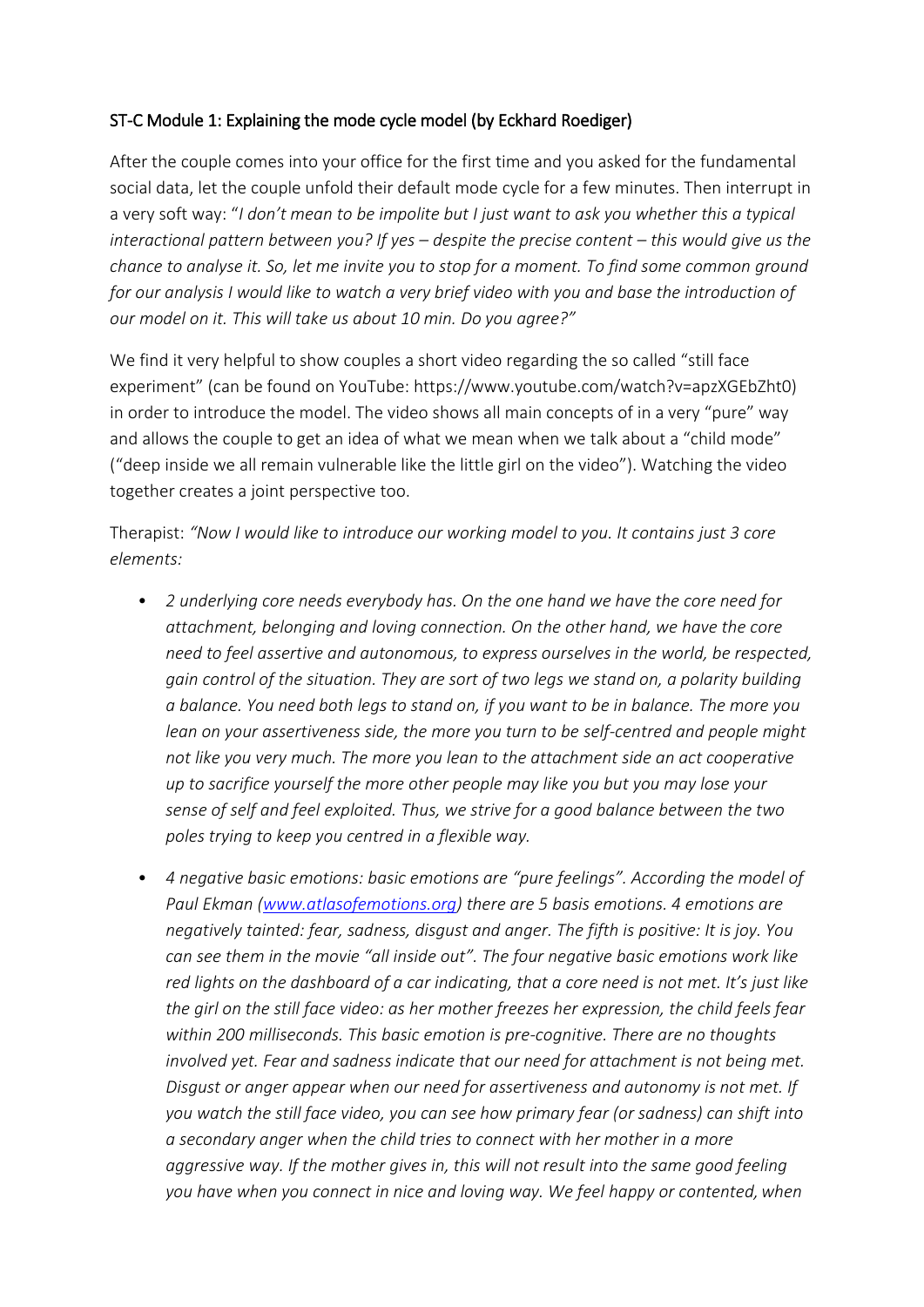## ST-C Module 1: Explaining the mode cycle model (by Eckhard Roediger)

After the couple comes into your office for the first time and you asked for the fundamental social data, let the couple unfold their default mode cycle for a few minutes. Then interrupt in a very soft way: "*I don't mean to be impolite but I just want to ask you whether this a typical interactional pattern between you? If yes – despite the precise content – this would give us the chance to analyse it. So, let me invite you to stop for a moment. To find some common ground for our analysis I would like to watch a very brief video with you and base the introduction of our model on it. This will take us about 10 min. Do you agree?"*

We find it very helpful to show couples a short video regarding the so called "still face experiment" (can be found on YouTube: https:/[/www.youtube.com/watch?v=apzXGEbZht0\)](http://www.youtube.com/watch?v=apzXGEbZht0)) in order to introduce the model. The video shows all main concepts of in a very "pure" way and allows the couple to get an idea of what we mean when we talk about a "child mode" ("deep inside we all remain vulnerable like the little girl on the video"). Watching the video together creates a joint perspective too.

Therapist: *"Now I would like to introduce our working model to you. It contains just 3 core elements:* 

- *2 underlying core needs everybody has. On the one hand we have the core need for attachment, belonging and loving connection. On the other hand, we have the core need to feel assertive and autonomous, to express ourselves in the world, be respected, gain control of the situation. They are sort of two legs we stand on, a polarity building a balance. You need both legs to stand on, if you want to be in balance. The more you lean on your assertiveness side, the more you turn to be self-centred and people might not like you very much. The more you lean to the attachment side an act cooperative up to sacrifice yourself the more other people may like you but you may lose your sense of self and feel exploited. Thus, we strive for a good balance between the two poles trying to keep you centred in a flexible way.*
- *4 negative basic emotions: basic emotions are "pure feelings". According the model of Paul Ekman (www.atlasofemotions.org) there are 5 basis emotions. 4 emotions are negatively tainted: fear, sadness, disgust and anger. The fifth is positive: It is joy. You can see them in the movie "all inside out". The four negative basic emotions work like red lights on the dashboard of a car indicating, that a core need is not met. It's just like the girl on the still face video: as her mother freezes her expression, the child feels fear within 200 milliseconds. This basic emotion is pre-cognitive. There are no thoughts involved yet. Fear and sadness indicate that our need for attachment is not being met. Disgust or anger appear when our need for assertiveness and autonomy is not met. If you watch the still face video, you can see how primary fear (or sadness) can shift into a secondary anger when the child tries to connect with her mother in a more aggressive way. If the mother gives in, this will not result into the same good feeling you have when you connect in nice and loving way. We feel happy or contented,when*